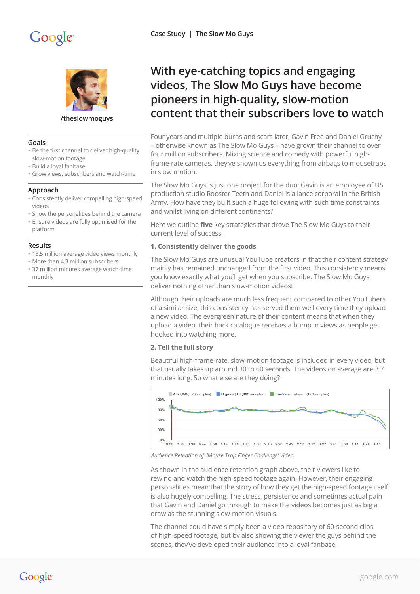

**[/theslowmoguys](http://www.youtube.com/theslowmoguys)**

## **Goals**

- Be the first channel to deliver high-quality slow-motion footage
- Build a loyal fanbase
- Grow views, subscribers and watch-time

## **Approach**

- Consistently deliver compelling high-speed videos
- Show the personalities behind the camera
- Ensure videos are fully optimised for the platform

#### **Results**

- 13.5 million average video views monthly
- More than 4.3 million subscribers
- 37 million minutes average watch-time monthly

# **With eye-catching topics and engaging videos, The Slow Mo Guys have become pioneers in high-quality, slow-motion content that their subscribers love to watch**

Four years and multiple burns and scars later, Gavin Free and Daniel Gruchy – otherwise known as The Slow Mo Guys – have grown their channel to over four million subscribers. Mixing science and comedy with powerful highframe-rate cameras, they've shown us everything from [airbags](https://www.youtube.com/watch?v=KRcajZHc6Yk) to [mousetraps](https://www.youtube.com/watch?v=tO7LIRhGbfo) in slow motion.

The Slow Mo Guys is just one project for the duo; Gavin is an employee of US production studio Rooster Teeth and Daniel is a lance corporal in the British Army. How have they built such a huge following with such time constraints and whilst living on different continents?

Here we outline **five** key strategies that drove The Slow Mo Guys to their current level of success.

# **1. Consistently deliver the goods**

The Slow Mo Guys are unusual YouTube creators in that their content strategy mainly has remained unchanged from the first video. This consistency means you know exactly what you'll get when you subscribe. The Slow Mo Guys deliver nothing other than slow-motion videos!

Although their uploads are much less frequent compared to other YouTubers of a similar size, this consistency has served them well every time they upload a new video. The evergreen nature of their content means that when they upload a video, their back catalogue receives a bump in views as people get hooked into watching more.

#### **2. Tell the full story**

Beautiful high-frame-rate, slow-motion footage is included in every video, but that usually takes up around 30 to 60 seconds. The videos on average are 3.7 minutes long. So what else are they doing?



 *Audience Retention of 'Mouse Trap Finger Challenge' Video*

As shown in the audience retention graph above, their viewers like to rewind and watch the high-speed footage again. However, their engaging personalities mean that the story of how they get the high-speed footage itself is also hugely compelling. The stress, persistence and sometimes actual pain that Gavin and Daniel go through to make the videos becomes just as big a draw as the stunning slow-motion visuals.

The channel could have simply been a video repository of 60-second clips of high-speed footage, but by also showing the viewer the guys behind the scenes, they've developed their audience into a loyal fanbase.